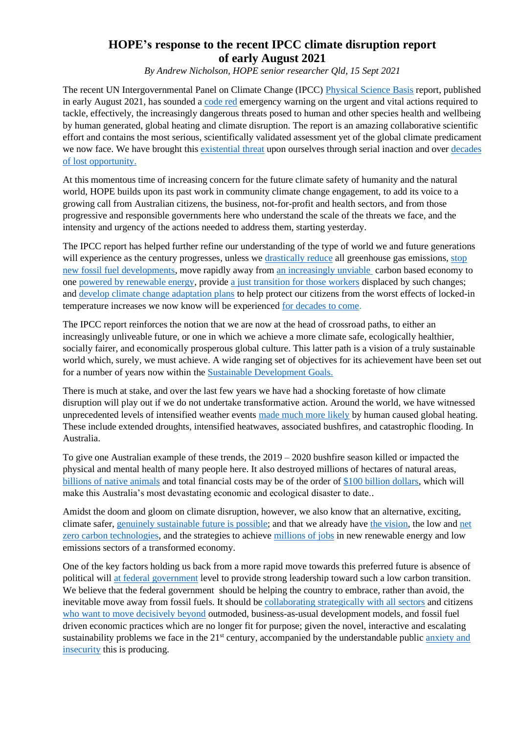## **HOPE's response to the recent IPCC climate disruption report of early August 2021**

*By Andrew Nicholson, HOPE senior researcher Qld, 15 Sept 2021*

The recent UN Intergovernmental Panel on Climate Change (IPCC) [Physical Science Basis](https://www.ipcc.ch/report/sixth-assessment-report-working-group-i/) report, published in early August 2021, has sounded a [code red](https://news.un.org/en/story/2021/08/1097362) emergency warning on the urgent and vital actions required to tackle, effectively, the increasingly dangerous threats posed to human and other species health and wellbeing by human generated, global heating and climate disruption. The report is an amazing collaborative scientific effort and contains the most serious, scientifically validated assessment yet of the global climate predicament we now face. We have brought this [existential threat](https://theconversation.com/earths-existential-threats-inequality-pandemics-and-climate-change-demand-global-leadership-154325) upon ourselves through serial inaction and over [decades](https://www.abc.net.au/news/2020-06-21/cliamte-change-coronavirus-halfway-point/12374252)  [of lost opportunity.](https://www.abc.net.au/news/2020-06-21/cliamte-change-coronavirus-halfway-point/12374252)

At this momentous time of increasing concern for the future climate safety of humanity and the natural world, HOPE builds upon its past work in community climate change engagement, to add its voice to a growing call from Australian citizens, the business, not-for-profit and health sectors, and from those progressive and responsible governments here who understand the scale of the threats we face, and the intensity and urgency of the actions needed to address them, starting yesterday.

The IPCC report has helped further refine our understanding of the type of world we and future generations will experience as the century progresses, unless we [drastically reduce](https://www.climatecouncil.org.au/wp-content/uploads/2021/04/aim-high-go-fast-why-emissions-must-plummet-climate-council-report-210421.pdf) all greenhouse gas emissions, stop [new fossil fuel developments,](https://www.iea.org/news/pathway-to-critical-and-formidable-goal-of-net-zero-emissions-by-2050-is-narrow-but-brings-huge-benefits) move rapidly away from [an increasingly unviable](https://www.actu.org.au/our-work/climate-change/the-need-for-a-just-transition) carbon based economy to one [powered by renewable energy,](https://theconversation.com/australia-could-fall-apart-under-climate-change-but-theres-a-way-to-avoid-it-126341) provid[e a just transition for those workers](https://www.actu.org.au/our-work/climate-change/the-need-for-a-just-transition) displaced by such changes; and [develop climate change adaptation plans](https://www.un.org/sustainabledevelopment/climate-change/) to help protect our citizens from the worst effects of locked-in temperature increases we now know will be experienced [for decades to come.](https://www.nature.com/articles/s41558-021-01092-9)

The IPCC report reinforces the notion that we are now at the head of crossroad paths, to either an increasingly unliveable future, or one in which we achieve a more climate safe, ecologically healthier, socially fairer, and economically prosperous global culture. This latter path is a vision of a truly sustainable world which, surely, we must achieve. A wide ranging set of objectives for its achievement have been set out for a number of years now within the [Sustainable Development Goals.](https://theconversation.com/australia-is-lagging-on-climate-action-and-inequality-but-the-pandemic-offers-a-chance-to-do-better-149983)

There is much at stake, and over the last few years we have had a shocking foretaste of how climate disruption will play out if we do not undertake transformative action. Around the world, we have witnessed unprecedented levels of intensified weather events [made much more likely](https://www.carbonbrief.org/mapped-how-climate-change-affects-extreme-weather-around-the-world) by human caused global heating. These include extended droughts, intensified heatwaves, associated bushfires, and catastrophic flooding. In Australia.

To give one Australian example of these trends, the 2019 – 2020 bushfire season killed or impacted the physical and mental health of many people here. It also destroyed millions of hectares of natural areas, [billions of native animals](https://www.statista.com/chart/22396/estimated-number-of-animals-killed-or-displaced-in-australian-bushfires/) and total financial costs may be of the order of [\\$100 billion dollars,](https://theconversation.com/with-costs-approaching-100-billion-the-fires-are-australias-costliest-natural-disaster-129433) which will make this Australia's most devastating economic and ecological disaster to date..

Amidst the doom and gloom on climate disruption, however, we also know that an alternative, exciting, climate safer, [genuinely sustainable future is possible;](https://www.wwf.org.au/news/news/2021/scorecard-reveals-australian-states-leading-the-race-to-become-renewable-superpowers) and that we already have [the vision,](https://nexteconomy.com.au/wp-content/uploads/TNE-WhatQldWants-WebFINAL.pdf) the low and [net](https://www.mediastatements.wa.gov.au/Pages/McGowan/2021/09/61-point-5-million-dollar-boost-for-WAs-renewable-hydrogen-industry.aspx)  [zero carbon technologies,](https://www.mediastatements.wa.gov.au/Pages/McGowan/2021/09/61-point-5-million-dollar-boost-for-WAs-renewable-hydrogen-industry.aspx) and the strategies to achieve [millions of jobs](https://bze.org.au/research_release/million-jobs-plan/?gclid=CjwKCAjwyvaJBhBpEiwA8d38vH-w3n3WDUmtixsMzo_HwdhLpSEkYKsX_kulQhrd5XyGO2MySQTc5hoC5iYQAvD_BwE) in new renewable energy and low emissions sectors of a transformed economy.

One of the key factors holding us back from a more rapid move towards this preferred future is absence of political will [at federal government](https://www.theguardian.com/australia-news/2021/may/13/australia-federal-budget-2021-environment-climate-change-green-gas-fired-recovery-electric-vehicles-renewable-energy) level to provide strong leadership toward such a low carbon transition. We believe that the federal government should be helping the country to embrace, rather than avoid, the inevitable move away from fossil fuels. It should be [collaborating strategically with all sectors](https://www.pwc.com.au/ceo-agenda/ceo-survey/how-australias-ceos-react-to-climate-change.html) and citizens [who want to move decisively beyond](https://www.acf.org.au/climate-poll) outmoded, business-as-usual development models, and fossil fuel driven economic practices which are no longer fit for purpose; given the novel, interactive and escalating sustainability problems we face in the 21<sup>st</sup> century, accompanied by the understandable public anxiety and [insecurity](https://lens.monash.edu/@medicine-health/2021/08/13/1383634/climate-change-collective-action-a-counterpoint-to-australian-government-inaction) this is producing.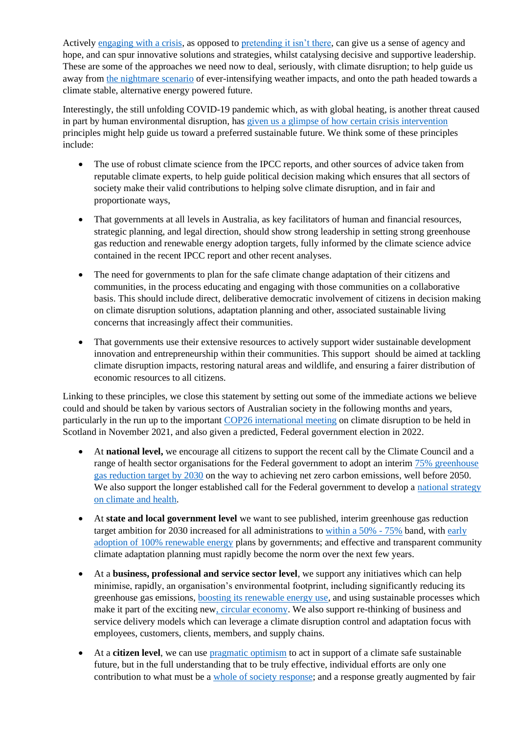Activel[y engaging with a crisis,](https://granthaminstitute.com/2019/09/17/pragmatic-optimism-rather-than-complacency-or-despondency-is-the-best-way-to-tackle-the-climate-emergency/) as opposed to [pretending it isn't there,](https://psychology.org.au/about-us/what-we-do/advocacy/advocacy-social-issues/environment-climate-change-psychology/resources-for-psychologists-and-others-advocating/the-psychology-of-climate-change-denial) can give us a sense of agency and hope, and can spur innovative solutions and strategies, whilst catalysing decisive and supportive leadership. These are some of the approaches we need now to deal, seriously, with climate disruption; to help guide us away from [the nightmare scenario](https://www.weforum.org/agenda/2020/03/what-the-world-could-look-like-in-2050-if-we-do-everything-right-on-climate/) of ever-intensifying weather impacts, and onto the path headed towards a climate stable, alternative energy powered future.

Interestingly, the still unfolding COVID-19 pandemic which, as with global heating, is another threat caused in part by human environmental disruption, has given us a [glimpse of how certain crisis intervention](https://institute.global/policy/covid-19-and-climate-change-how-apply-lessons-pandemic-climate-emergency) principles might help guide us toward a preferred sustainable future. We think some of these principles include:

- The use of robust climate science from the IPCC reports, and other sources of advice taken from reputable climate experts, to help guide political decision making which ensures that all sectors of society make their valid contributions to helping solve climate disruption, and in fair and proportionate ways,
- That governments at all levels in Australia, as key facilitators of human and financial resources, strategic planning, and legal direction, should show strong leadership in setting strong greenhouse gas reduction and renewable energy adoption targets, fully informed by the climate science advice contained in the recent IPCC report and other recent analyses.
- The need for governments to plan for the safe climate change adaptation of their citizens and communities, in the process educating and engaging with those communities on a collaborative basis. This should include direct, deliberative democratic involvement of citizens in decision making on climate disruption solutions, adaptation planning and other, associated sustainable living concerns that increasingly affect their communities.
- That governments use their extensive resources to actively support wider sustainable development innovation and entrepreneurship within their communities. This support should be aimed at tackling climate disruption impacts, restoring natural areas and wildlife, and ensuring a fairer distribution of economic resources to all citizens.

Linking to these principles, we close this statement by setting out some of the immediate actions we believe could and should be taken by various sectors of Australian society in the following months and years, particularly in the run up to the important [COP26 international meeting](https://ukcop26.org/wp-content/uploads/2021/07/COP26-Explained.pdf) on climate disruption to be held in Scotland in November 2021, and also given a predicted, Federal government election in 2022.

- At **national level,** we encourage all citizens to support the recent call by the Climate Council and a range of health sector organisations for the Federal government to adopt an interim [75% greenhouse](https://www.climatecouncil.org.au/actions/petition-cut-emissions-75/)  [gas reduction target by 2030](https://www.climatecouncil.org.au/actions/petition-cut-emissions-75/) on the way to achieving net zero carbon emissions, well before 2050. We also support the longer established call for the Federal government to develop a national strategy [on climate and health.](https://d3n8a8pro7vhmx.cloudfront.net/caha/pages/40/attachments/original/1498008324/CAHA_Framework_for_a_National_Strategy_on_Climate_Health_and_Well-being_v05_SCREEN_%28Full_Report%29.pdf?1498008324)
- At **state and local government level** we want to see published, interim greenhouse gas reduction target ambition for 2030 increased for all administrations to [within a 50% -](https://www.environment.sa.gov.au/topics/climate-change/south-australias-greenhouse-gas-emissions) 75% band, with [early](https://www.wwf.org.au/what-we-do/climate/renewables/renewable-superpower-scorecard)  [adoption of 100% renewable energy](https://www.wwf.org.au/what-we-do/climate/renewables/renewable-superpower-scorecard) plans by governments; and effective and transparent community climate adaptation planning must rapidly become the norm over the next few years.
- At a **business, professional and service sector level**, we support any initiatives which can help minimise, rapidly, an organisation's environmental footprint, including significantly reducing its greenhouse gas emissions, [boosting its renewable energy use,](https://reneweconomy.com.au/switching-to-renewables-could-cut-industry-energy-costs-by-almost-a-quarter-99217/) and using sustainable processes which make it part of the exciting ne[w, circular economy.](https://www.weforum.org/agenda/2021/03/how-the-circular-economy-can-help-the-climate/) We also support re-thinking of business and service delivery models which can leverage a climate disruption control and adaptation focus with employees, customers, clients, members, and supply chains.
- At a **citizen level**, we can use [pragmatic optimism](https://granthaminstitute.com/2019/09/17/pragmatic-optimism-rather-than-complacency-or-despondency-is-the-best-way-to-tackle-the-climate-emergency/) to act in support of a climate safe sustainable future, but in the full understanding that to be truly effective, individual efforts are only one contribution to what must be a [whole of society response;](file:///C:/Users/trans/Desktop/HOPE%202021/IPPC%20Report%202021/must%20be%20part%20of%20a%20whole%20of%20society%20response) and a response greatly augmented by fair